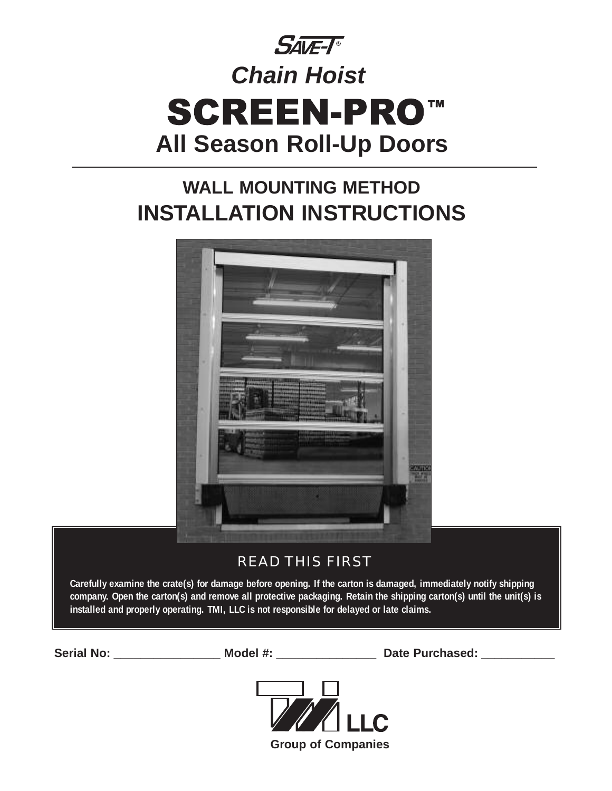

# **WALL MOUNTING METHOD INSTALLATION INSTRUCTIONS**



# READ THIS FIRST

**Carefully examine the crate(s) for damage before opening. If the carton is damaged, immediately notify shipping company. Open the carton(s) and remove all protective packaging. Retain the shipping carton(s) until the unit(s) is installed and properly operating. TMI, LLC is not responsible for delayed or late claims.**

Serial No: \_\_\_\_\_\_\_\_\_\_\_\_\_\_\_\_\_\_\_\_ Model #: \_\_\_\_\_\_\_\_\_\_\_\_\_\_\_\_\_\_\_\_\_ Date Purchased: \_\_\_\_\_\_\_\_\_\_\_\_\_\_

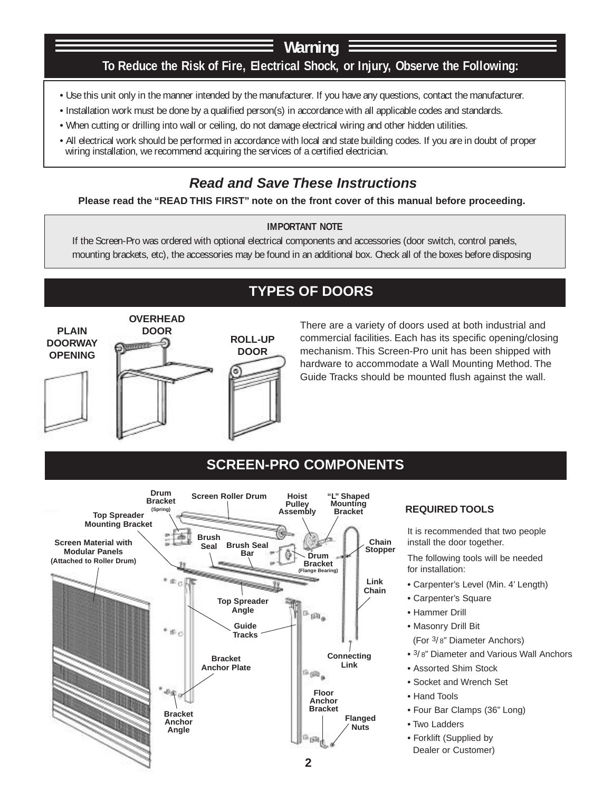# **To Reduce the Risk of Fire, Electrical Shock, or Injury, Observe the Following: Warning**

- Use this unit only in the manner intended by the manufacturer. If you have any questions, contact the manufacturer.
- Installation work must be done by a qualified person(s) in accordance with all applicable codes and standards.
- When cutting or drilling into wall or ceiling, do not damage electrical wiring and other hidden utilities.
- All electrical work should be performed in accordance with local and state building codes. If you are in doubt of proper wiring installation, we recommend acquiring the services of a certified electrician.

# **Read and Save These Instructions**

### **Please read the "READ THIS FIRST" note on the front cover of this manual before proceeding.**

### **IMPORTANT NOTE**

If the Screen-Pro was ordered with optional electrical components and accessories (door switch, control panels, mounting brackets, etc), the accessories may be found in an additional box. Check all of the boxes before disposing

# **TYPES OF DOORS**



There are a variety of doors used at both industrial and commercial facilities. Each has its specific opening/closing mechanism. This Screen-Pro unit has been shipped with hardware to accommodate a Wall Mounting Method. The Guide Tracks should be mounted flush against the wall.

## **SCREEN-PRO COMPONENTS**



### **REQUIRED TOOLS**

It is recommended that two people install the door together.

The following tools will be needed for installation:

- **•** Carpenter's Level (Min. 4' Length)
- **•** Carpenter's Square
- **•** Hammer Drill
- **•** Masonry Drill Bit
- (For 3/ 8" Diameter Anchors)
- **•** 3/ 8" Diameter and Various Wall Anchors
- **•** Assorted Shim Stock
- **•** Socket and Wrench Set
- **•** Hand Tools
- **•** Four Bar Clamps (36" Long)
- **•** Two Ladders
- **•** Forklift (Supplied by
- Dealer or Customer)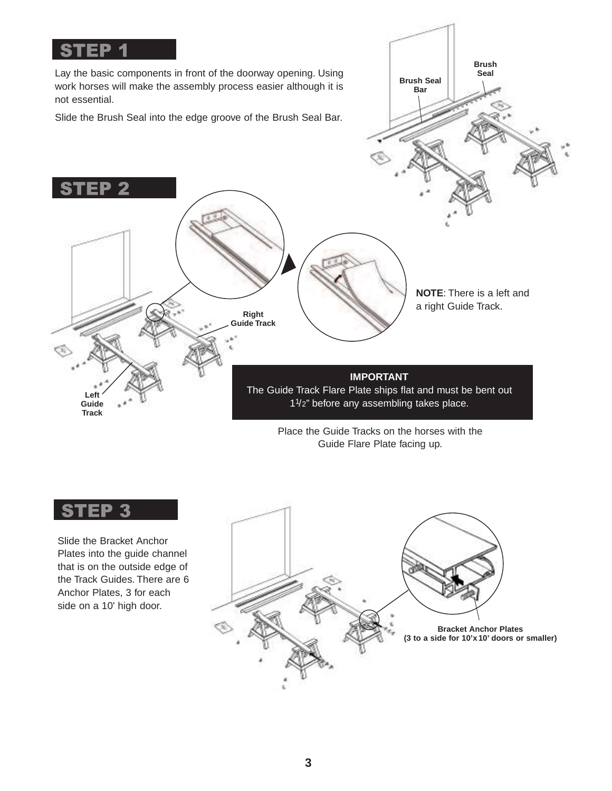

### **ST** 'EP 3

Slide the Bracket Anchor Plates into the guide channel that is on the outside edge of the Track Guides. There are 6 Anchor Plates, 3 for each side on a 10' high door.

# **Bracket Anchor Plates (3 to a side for 10'x 10' doors or smaller)**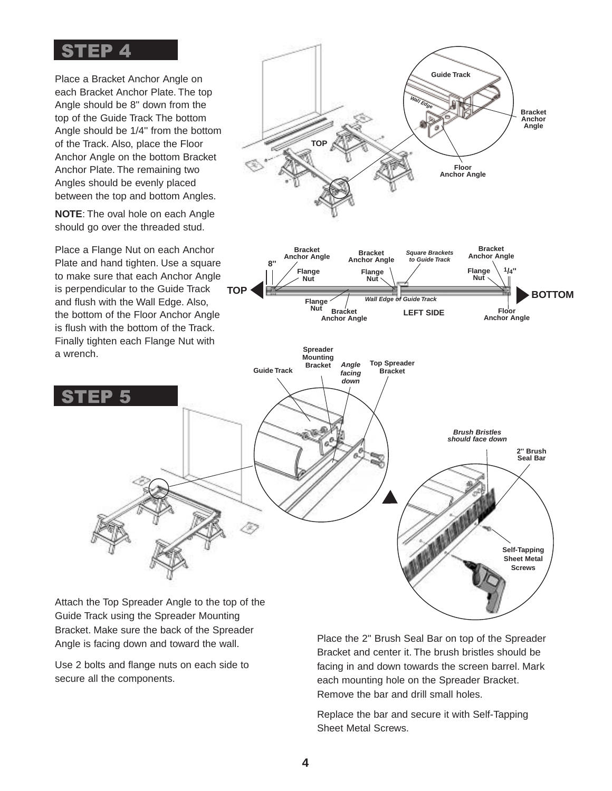# STEP 4

Place a Bracket Anchor Angle on each Bracket Anchor Plate. The top Angle should be 8'' down from the top of the Guide Track The bottom Angle should be 1/4'' from the bottom of the Track. Also, place the Floor Anchor Angle on the bottom Bracket Anchor Plate. The remaining two Angles should be evenly placed between the top and bottom Angles.

**NOTE**: The oval hole on each Angle should go over the threaded stud.

Place a Flange Nut on each Anchor Plate and hand tighten. Use a square to make sure that each Anchor Angle is perpendicular to the Guide Track and flush with the Wall Edge. Also, the bottom of the Floor Anchor Angle is flush with the bottom of the Track. Finally tighten each Flange Nut with a wrench.



Attach the Top Spreader Angle to the top of the Guide Track using the Spreader Mounting Bracket. Make sure the back of the Spreader Angle is facing down and toward the wall.

Use 2 bolts and flange nuts on each side to secure all the components.

Place the 2'' Brush Seal Bar on top of the Spreader Bracket and center it. The brush bristles should be facing in and down towards the screen barrel. Mark each mounting hole on the Spreader Bracket. Remove the bar and drill small holes.

Replace the bar and secure it with Self-Tapping Sheet Metal Screws.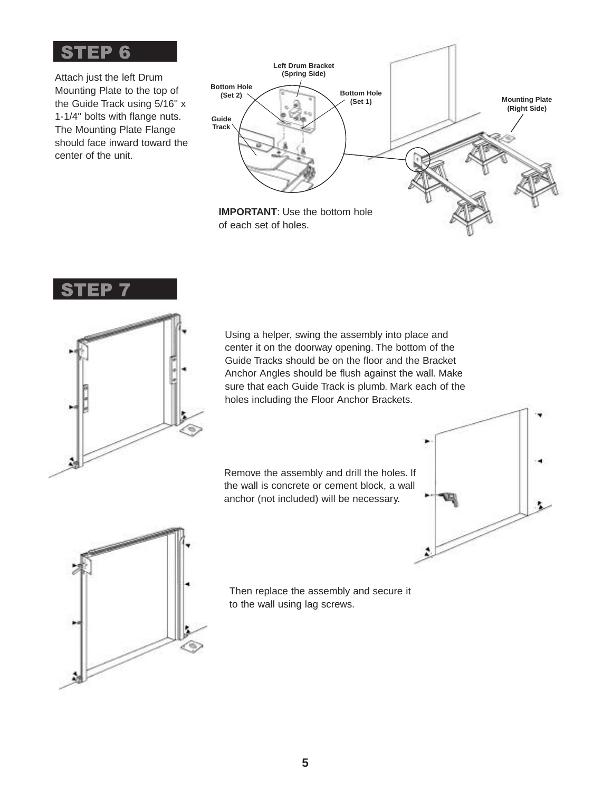

Attach just the left Drum Mounting Plate to the top of the Guide Track using 5/16'' x 1-1/4'' bolts with flange nuts. The Mounting Plate Flange should face inward toward the center of the unit.







Using a helper, swing the assembly into place and center it on the doorway opening. The bottom of the Guide Tracks should be on the floor and the Bracket Anchor Angles should be flush against the wall. Make sure that each Guide Track is plumb. Mark each of the holes including the Floor Anchor Brackets.

Remove the assembly and drill the holes. If the wall is concrete or cement block, a wall anchor (not included) will be necessary.





Then replace the assembly and secure it to the wall using lag screws.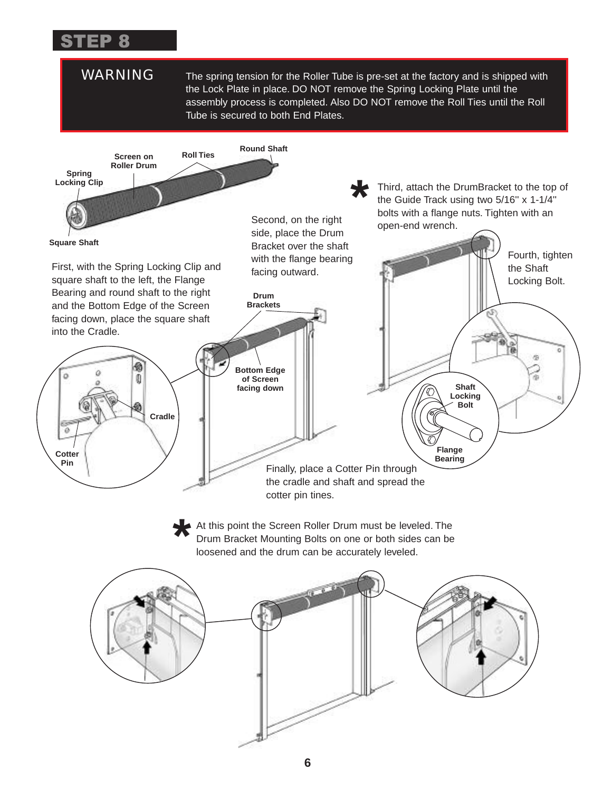### STEP 8

WARNING The spring tension for the Roller Tube is pre-set at the factory and is shipped with the Lock Plate in place. DO NOT remove the Spring Locking Plate until the assembly process is completed. Also DO NOT remove the Roll Ties until the Roll Tube is secured to both End Plates.

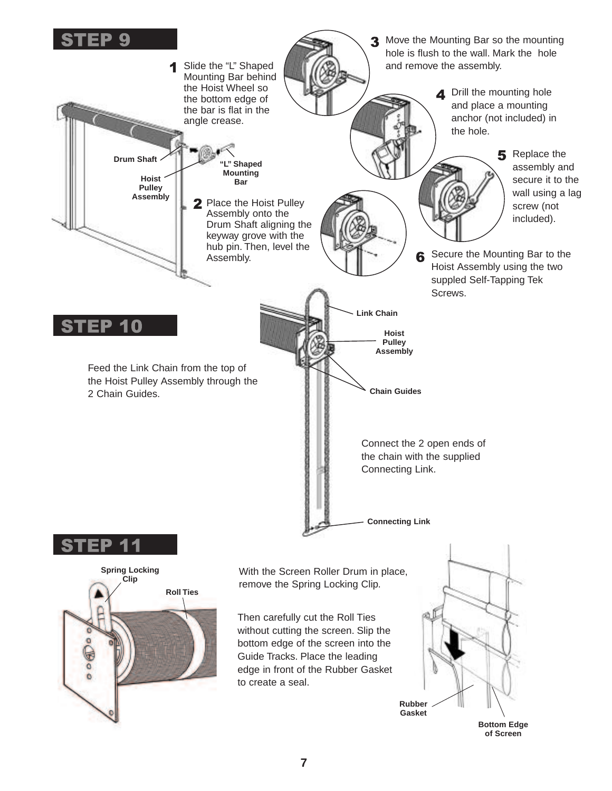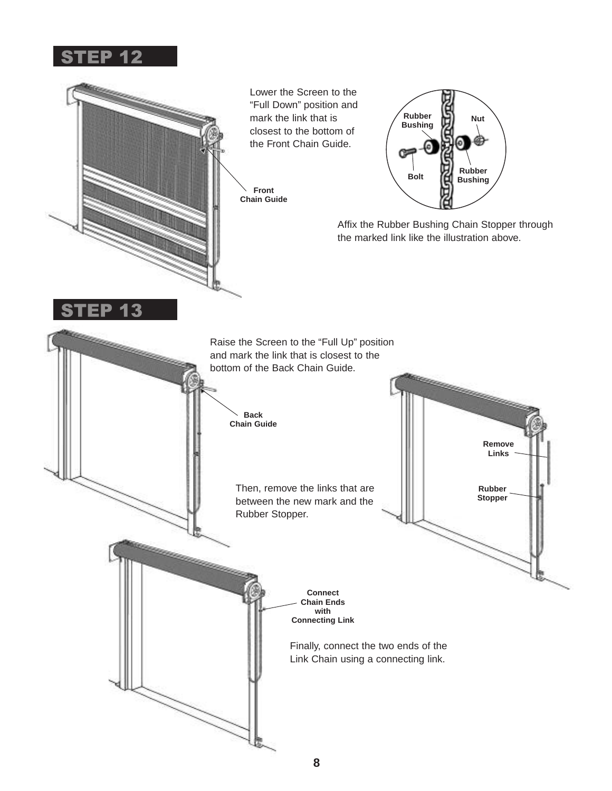